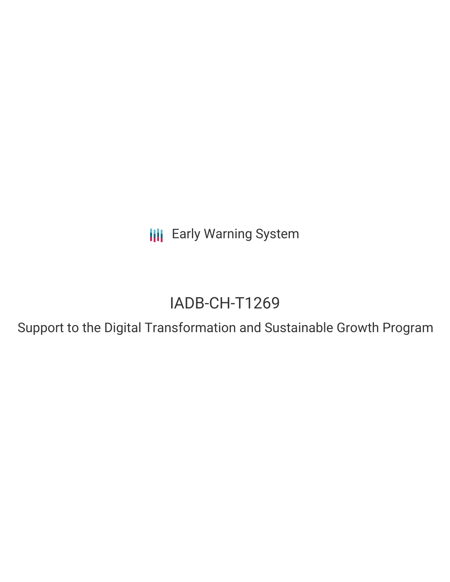**III** Early Warning System

# IADB-CH-T1269

Support to the Digital Transformation and Sustainable Growth Program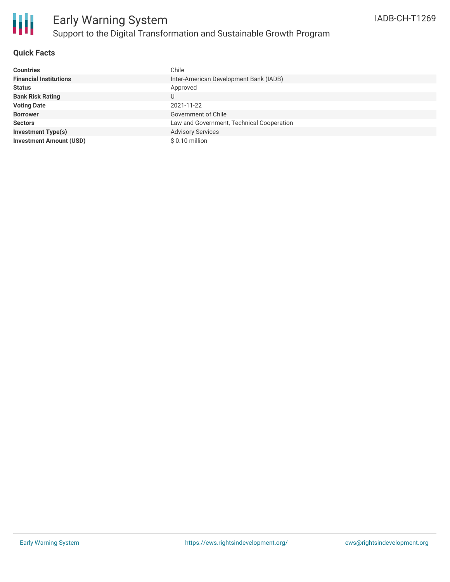

#### **Quick Facts**

| <b>Countries</b>               | Chile                                     |
|--------------------------------|-------------------------------------------|
| <b>Financial Institutions</b>  | Inter-American Development Bank (IADB)    |
| <b>Status</b>                  | Approved                                  |
| <b>Bank Risk Rating</b>        | U                                         |
| <b>Voting Date</b>             | 2021-11-22                                |
| <b>Borrower</b>                | Government of Chile                       |
| <b>Sectors</b>                 | Law and Government, Technical Cooperation |
| <b>Investment Type(s)</b>      | <b>Advisory Services</b>                  |
| <b>Investment Amount (USD)</b> | $$0.10$ million                           |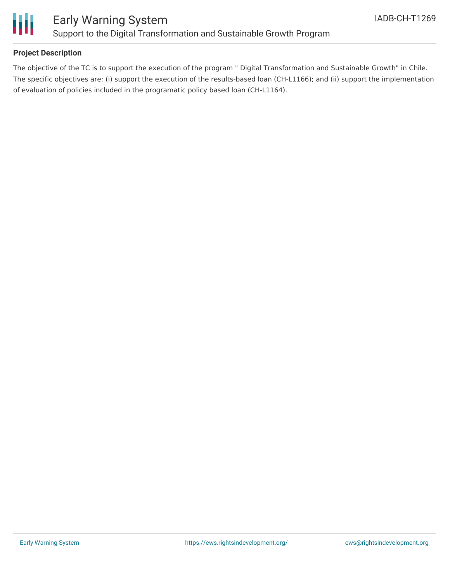

#### **Project Description**

The objective of the TC is to support the execution of the program " Digital Transformation and Sustainable Growth" in Chile. The specific objectives are: (i) support the execution of the results-based loan (CH-L1166); and (ii) support the implementation of evaluation of policies included in the programatic policy based loan (CH-L1164).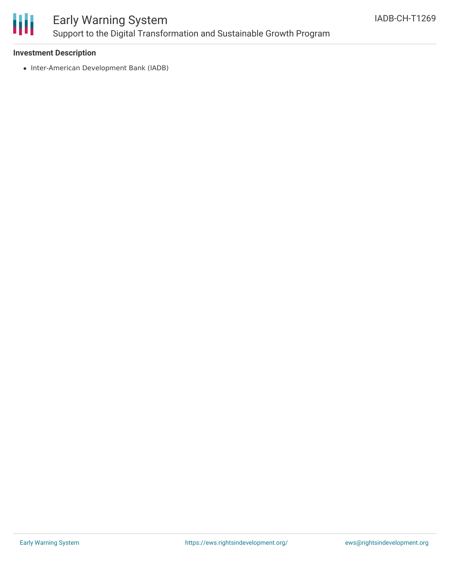

## Early Warning System Support to the Digital Transformation and Sustainable Growth Program

#### **Investment Description**

• Inter-American Development Bank (IADB)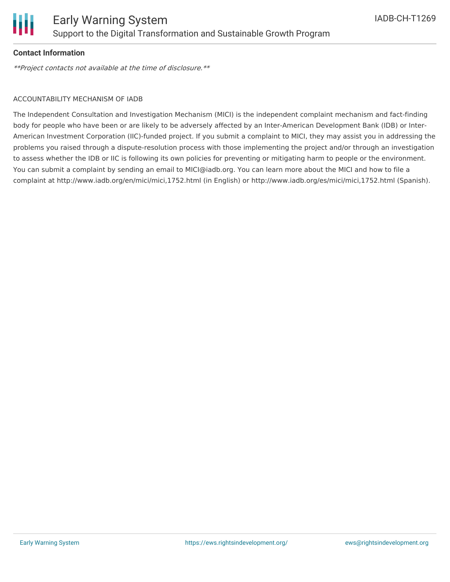

#### **Contact Information**

\*\*Project contacts not available at the time of disclosure.\*\*

#### ACCOUNTABILITY MECHANISM OF IADB

The Independent Consultation and Investigation Mechanism (MICI) is the independent complaint mechanism and fact-finding body for people who have been or are likely to be adversely affected by an Inter-American Development Bank (IDB) or Inter-American Investment Corporation (IIC)-funded project. If you submit a complaint to MICI, they may assist you in addressing the problems you raised through a dispute-resolution process with those implementing the project and/or through an investigation to assess whether the IDB or IIC is following its own policies for preventing or mitigating harm to people or the environment. You can submit a complaint by sending an email to MICI@iadb.org. You can learn more about the MICI and how to file a complaint at http://www.iadb.org/en/mici/mici,1752.html (in English) or http://www.iadb.org/es/mici/mici,1752.html (Spanish).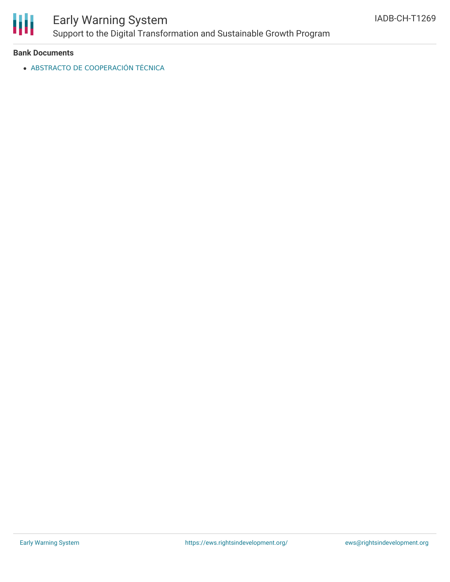

## Early Warning System Support to the Digital Transformation and Sustainable Growth Program

**Bank Documents**

ABSTRACTO DE [COOPERACIÓN](http://iadb.org/projects/document/EZSHARE-1339895193-8?project=CH-T1269) TÉCNICA